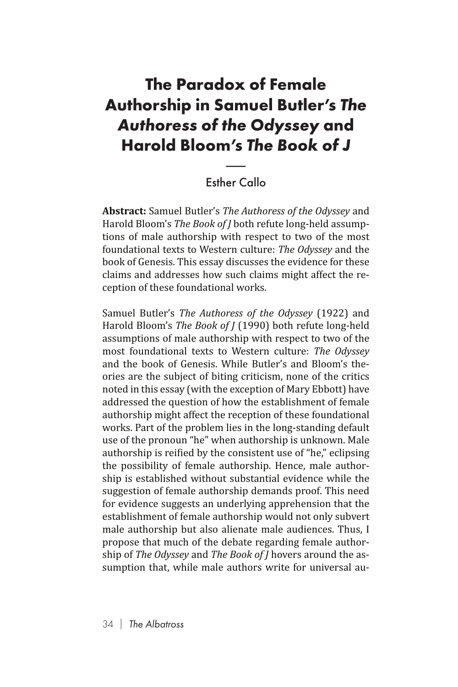## **The Paradox of Female Authorship in Samuel Butler's** *The Authoress of the Odyssey* **and Harold Bloom's** *The Book of J* i**am**<br>the<br>m's 1<br>her Ca

## Esther Callo

**Abstract:** Samuel Butler's *The Authoress of the Odyssey* and Harold Bloom's *The Book of J* both refute long-held assumptions of male authorship with respect to two of the most foundational texts to Western culture: *The Odyssey* and the book of Genesis. This essay discusses the evidence for these claims and addresses how such claims might affect the reception of these foundational works.

Samuel Butler's *The Authoress of the Odyssey* (1922) and Harold Bloom's *The Book of J* (1990) both refute long-held assumptions of male authorship with respect to two of the most foundational texts to Western culture: *The Odyssey*  and the book of Genesis. While Butler's and Bloom's theories are the subject of biting criticism, none of the critics noted in this essay (with the exception of Mary Ebbott) have addressed the question of how the establishment of female authorship might affect the reception of these foundational works. Part of the problem lies in the long-standing default use of the pronoun "he" when authorship is unknown. Male authorship is reified by the consistent use of "he," eclipsing the possibility of female authorship. Hence, male authorship is established without substantial evidence while the suggestion of female authorship demands proof. This need for evidence suggests an underlying apprehension that the establishment of female authorship would not only subvert male authorship but also alienate male audiences. Thus, I propose that much of the debate regarding female authorship of *The Odyssey* and *The Book of J* hovers around the assumption that, while male authors write for universal au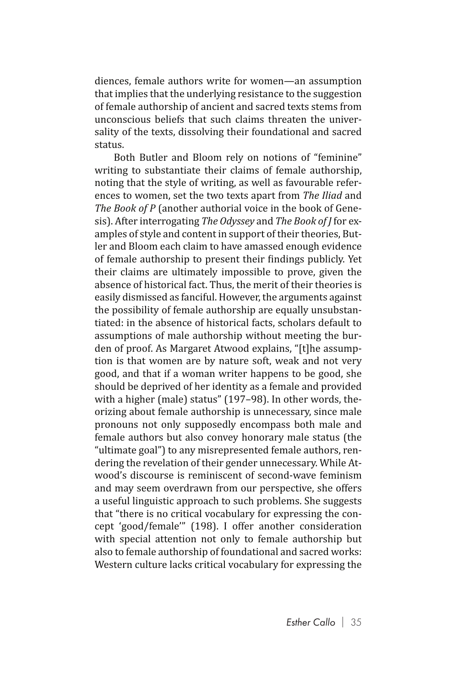diences, female authors write for women—an assumption that implies that the underlying resistance to the suggestion of female authorship of ancient and sacred texts stems from unconscious beliefs that such claims threaten the universality of the texts, dissolving their foundational and sacred status.

Both Butler and Bloom rely on notions of "feminine" writing to substantiate their claims of female authorship, noting that the style of writing, as well as favourable references to women, set the two texts apart from *The Iliad* and *The Book of P* (another authorial voice in the book of Genesis). After interrogating *The Odyssey* and *The Book of J* for examples of style and content in support of their theories, Butler and Bloom each claim to have amassed enough evidence of female authorship to present their findings publicly. Yet their claims are ultimately impossible to prove, given the absence of historical fact. Thus, the merit of their theories is easily dismissed as fanciful. However, the arguments against the possibility of female authorship are equally unsubstantiated: in the absence of historical facts, scholars default to assumptions of male authorship without meeting the burden of proof. As Margaret Atwood explains, "[t]he assumption is that women are by nature soft, weak and not very good, and that if a woman writer happens to be good, she should be deprived of her identity as a female and provided with a higher (male) status" (197–98). In other words, theorizing about female authorship is unnecessary, since male pronouns not only supposedly encompass both male and female authors but also convey honorary male status (the "ultimate goal") to any misrepresented female authors, rendering the revelation of their gender unnecessary. While Atwood's discourse is reminiscent of second-wave feminism and may seem overdrawn from our perspective, she offers a useful linguistic approach to such problems. She suggests that "there is no critical vocabulary for expressing the concept 'good/female'" (198). I offer another consideration with special attention not only to female authorship but also to female authorship of foundational and sacred works: Western culture lacks critical vocabulary for expressing the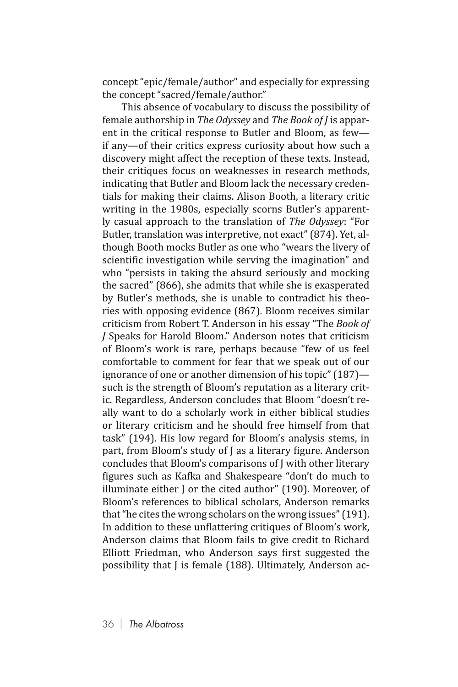concept "epic/female/author" and especially for expressing the concept "sacred/female/author."

This absence of vocabulary to discuss the possibility of female authorship in *The Odyssey* and *The Book of J* is apparent in the critical response to Butler and Bloom, as few if any—of their critics express curiosity about how such a discovery might affect the reception of these texts. Instead, their critiques focus on weaknesses in research methods, indicating that Butler and Bloom lack the necessary credentials for making their claims. Alison Booth, a literary critic writing in the 1980s, especially scorns Butler's apparently casual approach to the translation of *The Odyssey*: "For Butler, translation was interpretive, not exact" (874). Yet, although Booth mocks Butler as one who "wears the livery of scientific investigation while serving the imagination" and who "persists in taking the absurd seriously and mocking the sacred" (866), she admits that while she is exasperated by Butler's methods, she is unable to contradict his theories with opposing evidence (867). Bloom receives similar criticism from Robert T. Anderson in his essay "The *Book of J* Speaks for Harold Bloom." Anderson notes that criticism of Bloom's work is rare, perhaps because "few of us feel comfortable to comment for fear that we speak out of our ignorance of one or another dimension of his topic" (187) such is the strength of Bloom's reputation as a literary critic. Regardless, Anderson concludes that Bloom "doesn't really want to do a scholarly work in either biblical studies or literary criticism and he should free himself from that task" (194). His low regard for Bloom's analysis stems, in part, from Bloom's study of J as a literary figure. Anderson concludes that Bloom's comparisons of J with other literary figures such as Kafka and Shakespeare "don't do much to illuminate either J or the cited author" (190). Moreover, of Bloom's references to biblical scholars, Anderson remarks that "he cites the wrong scholars on the wrong issues" (191). In addition to these unflattering critiques of Bloom's work, Anderson claims that Bloom fails to give credit to Richard Elliott Friedman, who Anderson says first suggested the possibility that J is female (188). Ultimately, Anderson ac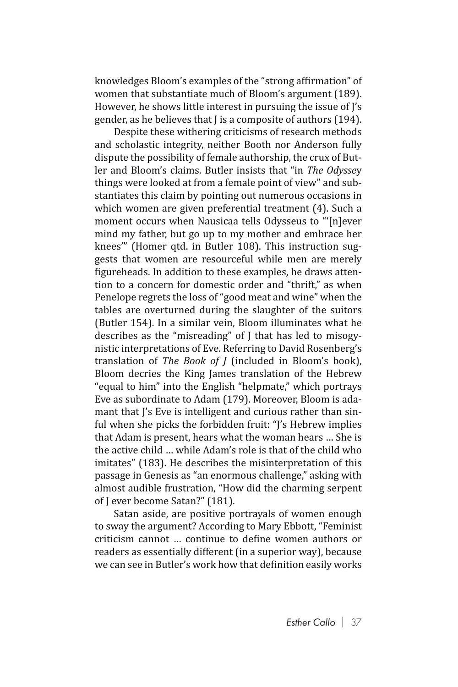knowledges Bloom's examples of the "strong affirmation" of women that substantiate much of Bloom's argument (189). However, he shows little interest in pursuing the issue of J's gender, as he believes that J is a composite of authors (194).

Despite these withering criticisms of research methods and scholastic integrity, neither Booth nor Anderson fully dispute the possibility of female authorship, the crux of Butler and Bloom's claims. Butler insists that "in *The Odysse*y things were looked at from a female point of view" and substantiates this claim by pointing out numerous occasions in which women are given preferential treatment (4). Such a moment occurs when Nausicaa tells Odysseus to "'[n]ever mind my father, but go up to my mother and embrace her knees'" (Homer qtd. in Butler 108). This instruction suggests that women are resourceful while men are merely figureheads. In addition to these examples, he draws attention to a concern for domestic order and "thrift," as when Penelope regrets the loss of "good meat and wine" when the tables are overturned during the slaughter of the suitors (Butler 154). In a similar vein, Bloom illuminates what he describes as the "misreading" of J that has led to misogynistic interpretations of Eve. Referring to David Rosenberg's translation of *The Book of J* (included in Bloom's book), Bloom decries the King James translation of the Hebrew "equal to him" into the English "helpmate," which portrays Eve as subordinate to Adam (179). Moreover, Bloom is adamant that I's Eve is intelligent and curious rather than sinful when she picks the forbidden fruit: "J's Hebrew implies that Adam is present, hears what the woman hears … She is the active child … while Adam's role is that of the child who imitates" (183). He describes the misinterpretation of this passage in Genesis as "an enormous challenge," asking with almost audible frustration, "How did the charming serpent of J ever become Satan?" (181).

Satan aside, are positive portrayals of women enough to sway the argument? According to Mary Ebbott, "Feminist criticism cannot … continue to define women authors or readers as essentially different (in a superior way), because we can see in Butler's work how that definition easily works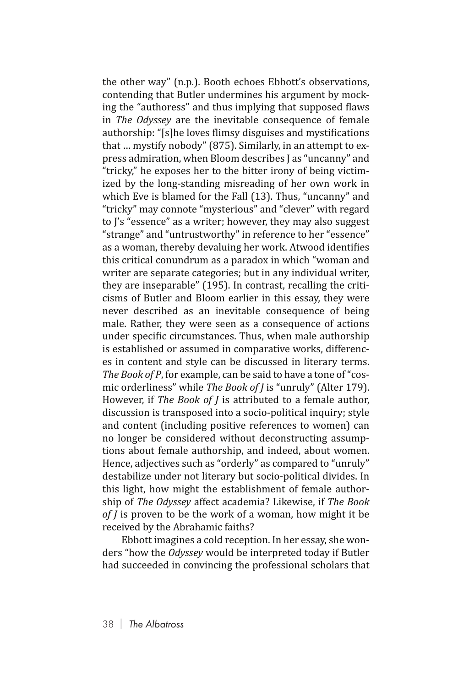the other way" (n.p.). Booth echoes Ebbott's observations, contending that Butler undermines his argument by mocking the "authoress" and thus implying that supposed flaws in *The Odyssey* are the inevitable consequence of female authorship: "[s]he loves flimsy disguises and mystifications that … mystify nobody" (875). Similarly, in an attempt to express admiration, when Bloom describes J as "uncanny" and "tricky," he exposes her to the bitter irony of being victimized by the long-standing misreading of her own work in which Eve is blamed for the Fall (13). Thus, "uncanny" and "tricky" may connote "mysterious" and "clever" with regard to J's "essence" as a writer; however, they may also suggest "strange" and "untrustworthy" in reference to her "essence" as a woman, thereby devaluing her work. Atwood identifies this critical conundrum as a paradox in which "woman and writer are separate categories; but in any individual writer, they are inseparable" (195). In contrast, recalling the criticisms of Butler and Bloom earlier in this essay, they were never described as an inevitable consequence of being male. Rather, they were seen as a consequence of actions under specific circumstances. Thus, when male authorship is established or assumed in comparative works, differences in content and style can be discussed in literary terms. *The Book of P*, for example, can be said to have a tone of "cosmic orderliness" while *The Book of J* is "unruly" (Alter 179). However, if *The Book of J* is attributed to a female author, discussion is transposed into a socio-political inquiry; style and content (including positive references to women) can no longer be considered without deconstructing assumptions about female authorship, and indeed, about women. Hence, adjectives such as "orderly" as compared to "unruly" destabilize under not literary but socio-political divides. In this light, how might the establishment of female authorship of *The Odyssey* affect academia? Likewise, if *The Book of J* is proven to be the work of a woman, how might it be received by the Abrahamic faiths?

Ebbott imagines a cold reception. In her essay, she wonders "how the *Odyssey* would be interpreted today if Butler had succeeded in convincing the professional scholars that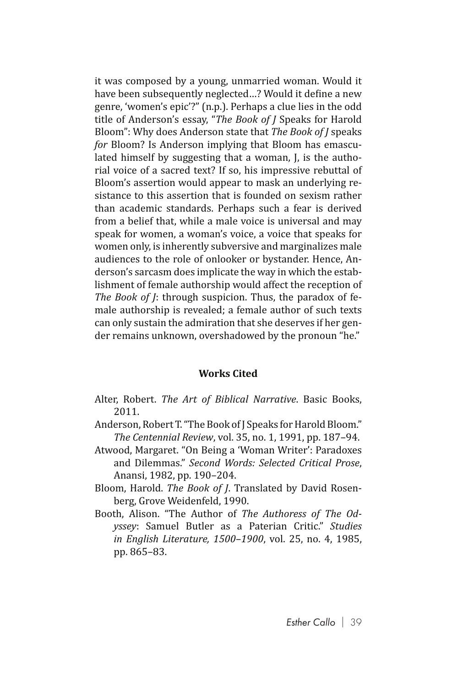it was composed by a young, unmarried woman. Would it have been subsequently neglected…? Would it define a new genre, 'women's epic'?" (n.p.). Perhaps a clue lies in the odd title of Anderson's essay, "*The Book of J* Speaks for Harold Bloom": Why does Anderson state that *The Book of J* speaks *for* Bloom? Is Anderson implying that Bloom has emasculated himself by suggesting that a woman, J, is the authorial voice of a sacred text? If so, his impressive rebuttal of Bloom's assertion would appear to mask an underlying resistance to this assertion that is founded on sexism rather than academic standards. Perhaps such a fear is derived from a belief that, while a male voice is universal and may speak for women, a woman's voice, a voice that speaks for women only, is inherently subversive and marginalizes male audiences to the role of onlooker or bystander. Hence, Anderson's sarcasm does implicate the way in which the establishment of female authorship would affect the reception of *The Book of J*: through suspicion. Thus, the paradox of female authorship is revealed; a female author of such texts can only sustain the admiration that she deserves if her gender remains unknown, overshadowed by the pronoun "he."

## **Works Cited**

- Alter, Robert. *The Art of Biblical Narrative*. Basic Books, 2011.
- Anderson, Robert T. "The Book of J Speaks for Harold Bloom." *The Centennial Review*, vol. 35, no. 1, 1991, pp. 187–94.
- Atwood, Margaret. "On Being a 'Woman Writer': Paradoxes and Dilemmas." *Second Words: Selected Critical Prose*, Anansi, 1982, pp. 190–204.
- Bloom, Harold. *The Book of J*. Translated by David Rosenberg, Grove Weidenfeld, 1990.
- Booth, Alison. "The Author of *The Authoress of The Odyssey*: Samuel Butler as a Paterian Critic." *Studies in English Literature, 1500–1900*, vol. 25, no. 4, 1985, pp. 865–83.